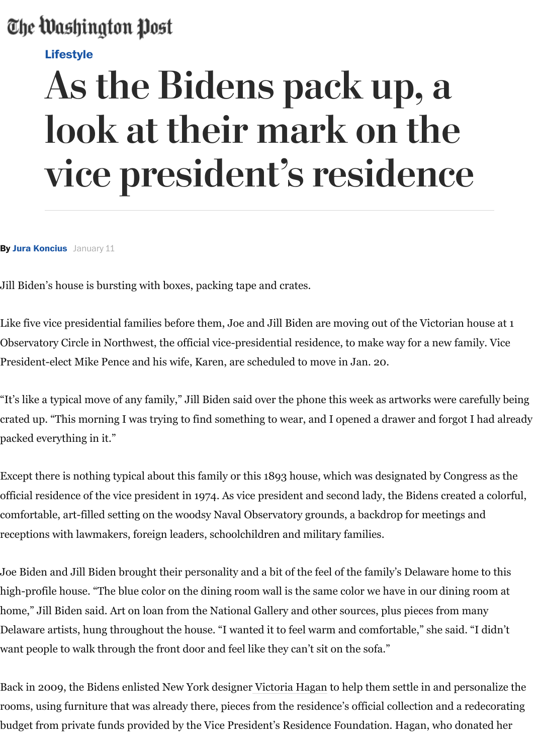## **look at their mark on the [vice](https://www.washingtonpost.com/lifestyle) president's residence**

## **By Jura Koncius** January 11

Jill Biden's house is bursting with boxes, packing tape and crates.

Like five vice presidential families before them, Joe and Jill Biden are moving out of the Victorian h Observatory Circle in Northwest, the official vice-presidential residence, to make way for a new fam President-elect Mike Pence and his wife, Karen, are scheduled to move in Jan. 20.

"I[t's like a typi](https://www.washingtonpost.com/people/jura-koncius/)cal move of any family," Jill Biden said over the phone this week as artworks were car crated up. "This morning I was trying to find something to wear, and I opened a drawer and forgot I packed everything in it."

Except there is nothing typical about this family or this 1893 house, which was designated by Congr official residence of the vice president in 1974. As vice president and second lady, the Bidens created comfortable, art-filled setting on the woodsy Naval Observatory grounds, a backdrop for meetings a receptions with lawmakers, foreign leaders, schoolchildren and military families.

Joe Biden and Jill Biden brought their personality and a bit of the feel of the family's Delaware hom high-profile house. "The blue color on the dining room wall is the same color we have in our dining home," Jill Biden said. Art on loan from the National Gallery and other sources, plus pieces from m Delaware artists, hung throughout the house. "I wanted it to feel warm and comfortable," she said. " want people to walk through the front door and feel like they can't sit on the sofa."

Back in 2009, the Bidens enlisted New York designer Victoria Hagan to help them settle in and pers rooms, using furniture that was already there, pieces from the residence's official collection and a re budget from private funds provided by the Vice President's Residence Foundation. Hagan, who don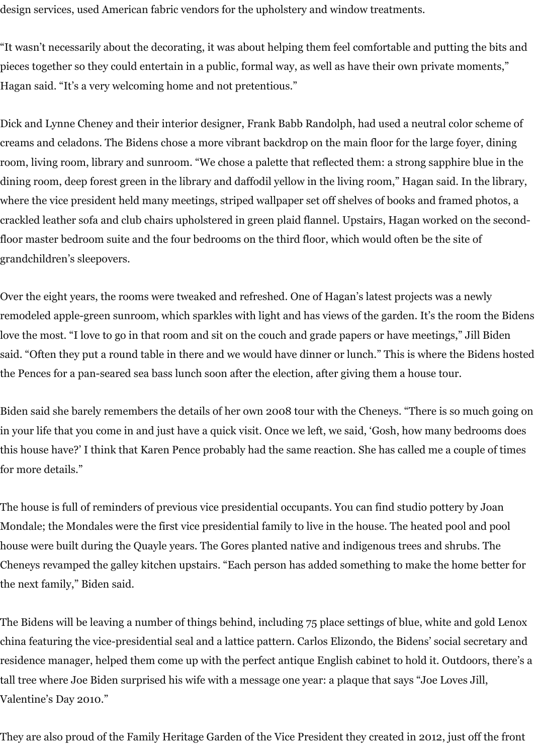design services, used American fabric vendors for the upholstery and window treatments.

"It wasn't necessarily about the decorating, it was about helping them feel comfortable and putting the bits and pieces together so they could entertain in a public, formal way, as well as have their own private moments," Hagan said. "It's a very welcoming home and not pretentious."

Dick and Lynne Cheney and their interior designer, Frank Babb Randolph, had used a neutral color scheme of creams and celadons. The Bidens chose a more vibrant backdrop on the main floor for the large foyer, dining room, living room, library and sunroom. "We chose a palette that reflected them: a strong sapphire blue in the dining room, deep forest green in the library and daffodil yellow in the living room," Hagan said. In the library, where the vice president held many meetings, striped wallpaper set off shelves of books and framed photos, a crackled leather sofa and club chairs upholstered in green plaid flannel. Upstairs, Hagan worked on the secondfloor master bedroom suite and the four bedrooms on the third floor, which would often be the site of grandchildren's sleepovers.

Over the eight years, the rooms were tweaked and refreshed. One of Hagan's latest projects was a newly remodeled apple-green sunroom, which sparkles with light and has views of the garden. It's the room the Bidens love the most. "I love to go in that room and sit on the couch and grade papers or have meetings," Jill Biden said. "Often they put a round table in there and we would have dinner or lunch." This is where the Bidens hosted the Pences for a pan-seared sea bass lunch soon after the election, after giving them a house tour.

Biden said she barely remembers the details of her own 2008 tour with the Cheneys. "There is so much going on in your life that you come in and just have a quick visit. Once we left, we said, 'Gosh, how many bedrooms does this house have?' I think that Karen Pence probably had the same reaction. She has called me a couple of times for more details."

The house is full of reminders of previous vice presidential occupants. You can find studio pottery by Joan Mondale; the Mondales were the first vice presidential family to live in the house. The heated pool and pool house were built during the Quayle years. The Gores planted native and indigenous trees and shrubs. The Cheneys revamped the galley kitchen upstairs. "Each person has added something to make the home better for the next family," Biden said.

The Bidens will be leaving a number of things behind, including 75 place settings of blue, white and gold Lenox china featuring the vice-presidential seal and a lattice pattern. Carlos Elizondo, the Bidens' social secretary and residence manager, helped them come up with the perfect antique English cabinet to hold it. Outdoors, there's a tall tree where Joe Biden surprised his wife with a message one year: a plaque that says "Joe Loves Jill, Valentine's Day 2010."

They are also proud of the Family Heritage Garden of the Vice President they created in 2012, just off the front